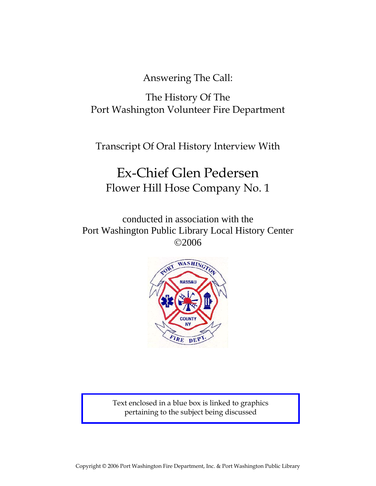Answering The Call:

The History Of The Port Washington Volunteer Fire Department

Transcript Of Oral History Interview With

# Ex-Chief Glen Pedersen Flower Hill Hose Company No. 1

conducted in association with the Port Washington Public Library Local History Center ©2006



Text enclosed in a blue box is linked to graphics pertaining to the subject being discussed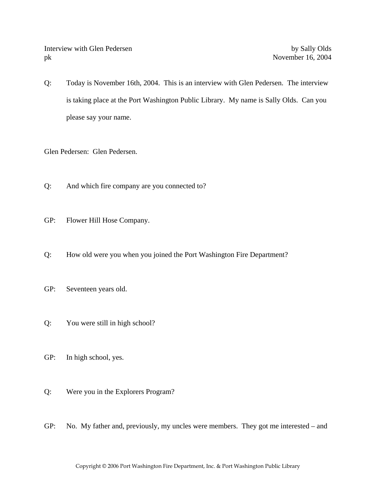Interview with Glen Pedersen by Sally Olds pk November 16, 2004

Q: Today is November 16th, 2004. This is an interview with Glen Pedersen. The interview is taking place at the Port Washington Public Library. My name is Sally Olds. Can you please say your name.

Glen Pedersen: Glen Pedersen.

- Q: And which fire company are you connected to?
- GP: Flower Hill Hose Company.
- Q: How old were you when you joined the Port Washington Fire Department?
- GP: Seventeen years old.
- Q: You were still in high school?
- GP: In high school, yes.
- Q: Were you in the Explorers Program?
- GP: No. My father and, previously, my uncles were members. They got me interested and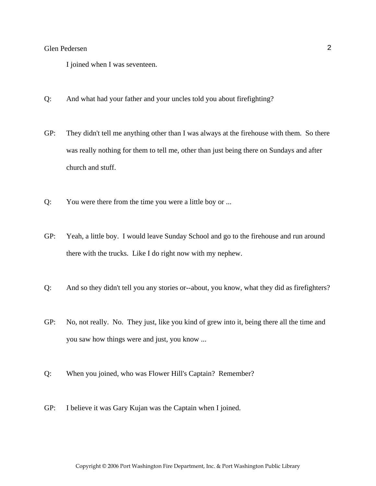I joined when I was seventeen.

- Q: And what had your father and your uncles told you about firefighting?
- GP: They didn't tell me anything other than I was always at the firehouse with them. So there was really nothing for them to tell me, other than just being there on Sundays and after church and stuff.
- Q: You were there from the time you were a little boy or ...
- GP: Yeah, a little boy. I would leave Sunday School and go to the firehouse and run around there with the trucks. Like I do right now with my nephew.
- Q: And so they didn't tell you any stories or--about, you know, what they did as firefighters?
- GP: No, not really. No. They just, like you kind of grew into it, being there all the time and you saw how things were and just, you know ...
- Q: When you joined, who was Flower Hill's Captain? Remember?
- GP: I believe it was Gary Kujan was the Captain when I joined.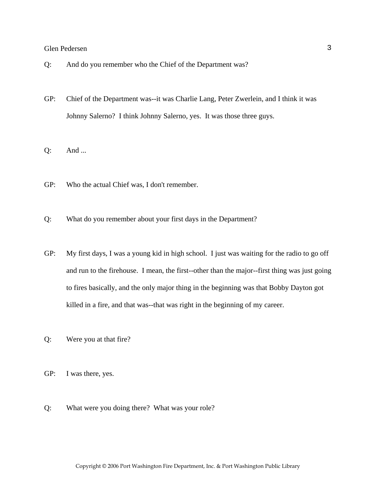- Q: And do you remember who the Chief of the Department was?
- GP: Chief of the Department was--it was Charlie Lang, Peter Zwerlein, and I think it was Johnny Salerno? I think Johnny Salerno, yes. It was those three guys.
- Q: And ...
- GP: Who the actual Chief was, I don't remember.
- Q: What do you remember about your first days in the Department?
- GP: My first days, I was a young kid in high school. I just was waiting for the radio to go off and run to the firehouse. I mean, the first--other than the major--first thing was just going to fires basically, and the only major thing in the beginning was that Bobby Dayton got killed in a fire, and that was--that was right in the beginning of my career.
- Q: Were you at that fire?
- GP: I was there, yes.
- Q: What were you doing there? What was your role?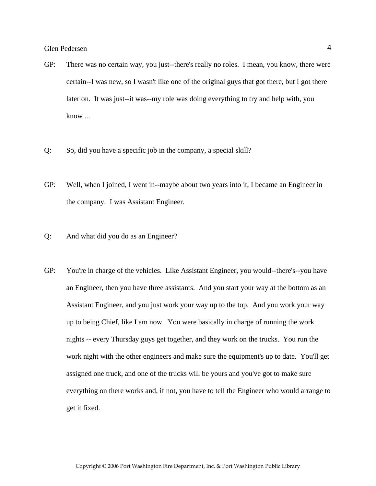- GP: There was no certain way, you just--there's really no roles. I mean, you know, there were certain--I was new, so I wasn't like one of the original guys that got there, but I got there later on. It was just--it was--my role was doing everything to try and help with, you know ...
- Q: So, did you have a specific job in the company, a special skill?
- GP: Well, when I joined, I went in--maybe about two years into it, I became an Engineer in the company. I was Assistant Engineer.
- Q: And what did you do as an Engineer?
- GP: You're in charge of the vehicles. Like Assistant Engineer, you would--there's--you have an Engineer, then you have three assistants. And you start your way at the bottom as an Assistant Engineer, and you just work your way up to the top. And you work your way up to being Chief, like I am now. You were basically in charge of running the work nights -- every Thursday guys get together, and they work on the trucks. You run the work night with the other engineers and make sure the equipment's up to date. You'll get assigned one truck, and one of the trucks will be yours and you've got to make sure everything on there works and, if not, you have to tell the Engineer who would arrange to get it fixed.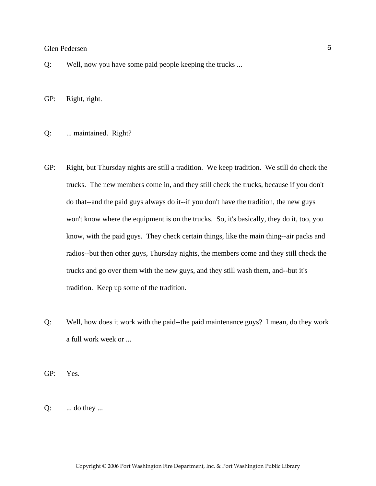Q: Well, now you have some paid people keeping the trucks ...

GP: Right, right.

Q: ... maintained. Right?

- GP: Right, but Thursday nights are still a tradition. We keep tradition. We still do check the trucks. The new members come in, and they still check the trucks, because if you don't do that--and the paid guys always do it--if you don't have the tradition, the new guys won't know where the equipment is on the trucks. So, it's basically, they do it, too, you know, with the paid guys. They check certain things, like the main thing--air packs and radios--but then other guys, Thursday nights, the members come and they still check the trucks and go over them with the new guys, and they still wash them, and--but it's tradition. Keep up some of the tradition.
- Q: Well, how does it work with the paid--the paid maintenance guys? I mean, do they work a full work week or ...

GP: Yes.

 $Q:$  ... do they ...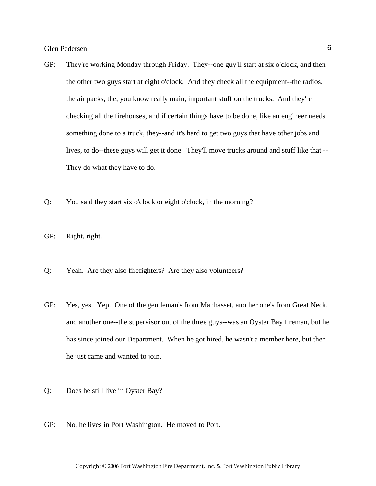- GP: They're working Monday through Friday. They--one guy'll start at six o'clock, and then the other two guys start at eight o'clock. And they check all the equipment--the radios, the air packs, the, you know really main, important stuff on the trucks. And they're checking all the firehouses, and if certain things have to be done, like an engineer needs something done to a truck, they--and it's hard to get two guys that have other jobs and lives, to do--these guys will get it done. They'll move trucks around and stuff like that -- They do what they have to do.
- Q: You said they start six o'clock or eight o'clock, in the morning?
- GP: Right, right.
- Q: Yeah. Are they also firefighters? Are they also volunteers?
- GP: Yes, yes. Yep. One of the gentleman's from Manhasset, another one's from Great Neck, and another one--the supervisor out of the three guys--was an Oyster Bay fireman, but he has since joined our Department. When he got hired, he wasn't a member here, but then he just came and wanted to join.
- Q: Does he still live in Oyster Bay?
- GP: No, he lives in Port Washington. He moved to Port.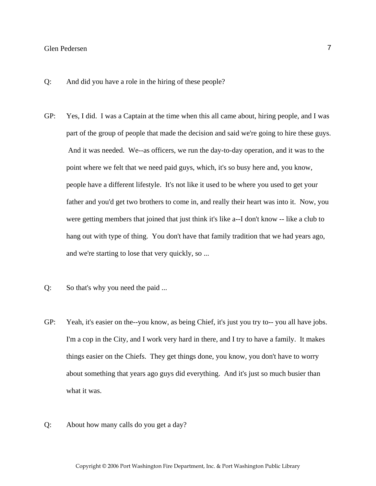- Q: And did you have a role in the hiring of these people?
- GP: Yes, I did. I was a Captain at the time when this all came about, hiring people, and I was part of the group of people that made the decision and said we're going to hire these guys. And it was needed. We--as officers, we run the day-to-day operation, and it was to the point where we felt that we need paid guys, which, it's so busy here and, you know, people have a different lifestyle. It's not like it used to be where you used to get your father and you'd get two brothers to come in, and really their heart was into it. Now, you were getting members that joined that just think it's like a--I don't know -- like a club to hang out with type of thing. You don't have that family tradition that we had years ago, and we're starting to lose that very quickly, so ...
- Q: So that's why you need the paid ...
- GP: Yeah, it's easier on the--you know, as being Chief, it's just you try to-- you all have jobs. I'm a cop in the City, and I work very hard in there, and I try to have a family. It makes things easier on the Chiefs. They get things done, you know, you don't have to worry about something that years ago guys did everything. And it's just so much busier than what it was.
- Q: About how many calls do you get a day?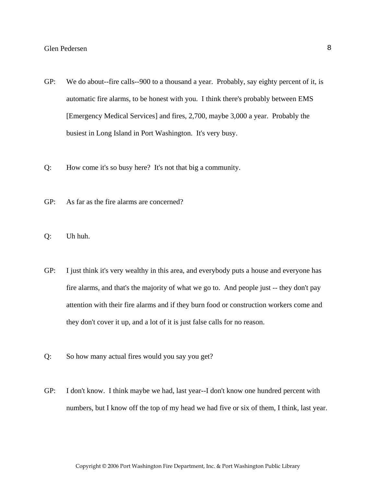- GP: We do about--fire calls--900 to a thousand a year. Probably, say eighty percent of it, is automatic fire alarms, to be honest with you. I think there's probably between EMS [Emergency Medical Services] and fires, 2,700, maybe 3,000 a year. Probably the busiest in Long Island in Port Washington. It's very busy.
- Q: How come it's so busy here? It's not that big a community.
- GP: As far as the fire alarms are concerned?
- Q: Uh huh.
- GP: I just think it's very wealthy in this area, and everybody puts a house and everyone has fire alarms, and that's the majority of what we go to. And people just -- they don't pay attention with their fire alarms and if they burn food or construction workers come and they don't cover it up, and a lot of it is just false calls for no reason.
- Q: So how many actual fires would you say you get?
- GP: I don't know. I think maybe we had, last year--I don't know one hundred percent with numbers, but I know off the top of my head we had five or six of them, I think, last year.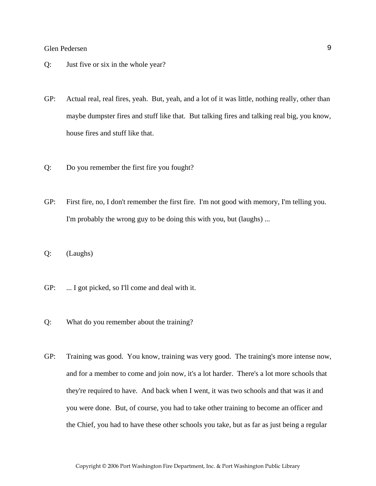- Q: Just five or six in the whole year?
- GP: Actual real, real fires, yeah. But, yeah, and a lot of it was little, nothing really, other than maybe dumpster fires and stuff like that. But talking fires and talking real big, you know, house fires and stuff like that.
- Q: Do you remember the first fire you fought?
- GP: First fire, no, I don't remember the first fire. I'm not good with memory, I'm telling you. I'm probably the wrong guy to be doing this with you, but (laughs) ...
- Q: (Laughs)
- GP: ... I got picked, so I'll come and deal with it.
- Q: What do you remember about the training?
- GP: Training was good. You know, training was very good. The training's more intense now, and for a member to come and join now, it's a lot harder. There's a lot more schools that they're required to have. And back when I went, it was two schools and that was it and you were done. But, of course, you had to take other training to become an officer and the Chief, you had to have these other schools you take, but as far as just being a regular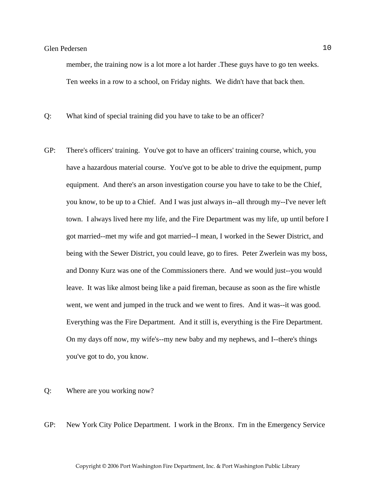member, the training now is a lot more a lot harder .These guys have to go ten weeks. Ten weeks in a row to a school, on Friday nights. We didn't have that back then.

Q: What kind of special training did you have to take to be an officer?

GP: There's officers' training. You've got to have an officers' training course, which, you have a hazardous material course. You've got to be able to drive the equipment, pump equipment. And there's an arson investigation course you have to take to be the Chief, you know, to be up to a Chief. And I was just always in--all through my--I've never left town. I always lived here my life, and the Fire Department was my life, up until before I got married--met my wife and got married--I mean, I worked in the Sewer District, and being with the Sewer District, you could leave, go to fires. Peter Zwerlein was my boss, and Donny Kurz was one of the Commissioners there. And we would just--you would leave. It was like almost being like a paid fireman, because as soon as the fire whistle went, we went and jumped in the truck and we went to fires. And it was--it was good. Everything was the Fire Department. And it still is, everything is the Fire Department. On my days off now, my wife's--my new baby and my nephews, and I--there's things you've got to do, you know.

#### Q: Where are you working now?

GP: New York City Police Department. I work in the Bronx. I'm in the Emergency Service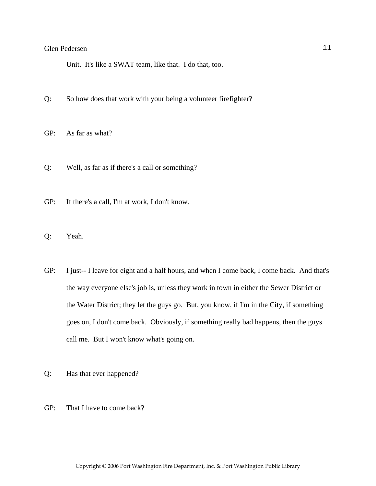Unit. It's like a SWAT team, like that. I do that, too.

- Q: So how does that work with your being a volunteer firefighter?
- GP: As far as what?
- Q: Well, as far as if there's a call or something?
- GP: If there's a call, I'm at work, I don't know.
- Q: Yeah.
- GP: I just-- I leave for eight and a half hours, and when I come back, I come back. And that's the way everyone else's job is, unless they work in town in either the Sewer District or the Water District; they let the guys go. But, you know, if I'm in the City, if something goes on, I don't come back. Obviously, if something really bad happens, then the guys call me. But I won't know what's going on.
- Q: Has that ever happened?
- GP: That I have to come back?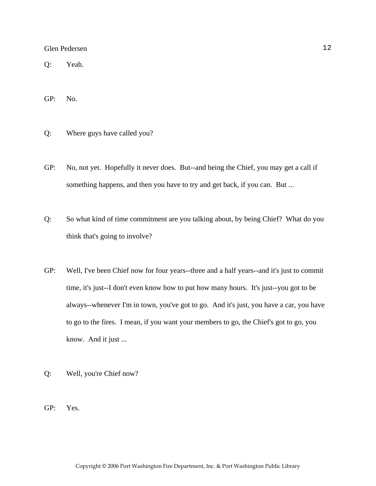Q: Yeah.

GP: No.

- Q: Where guys have called you?
- GP: No, not yet. Hopefully it never does. But--and being the Chief, you may get a call if something happens, and then you have to try and get back, if you can. But ...
- Q: So what kind of time commitment are you talking about, by being Chief? What do you think that's going to involve?
- GP: Well, I've been Chief now for four years--three and a half years--and it's just to commit time, it's just--I don't even know how to put how many hours. It's just--you got to be always--whenever I'm in town, you've got to go. And it's just, you have a car, you have to go to the fires. I mean, if you want your members to go, the Chief's got to go, you know. And it just ...
- Q: Well, you're Chief now?
- GP: Yes.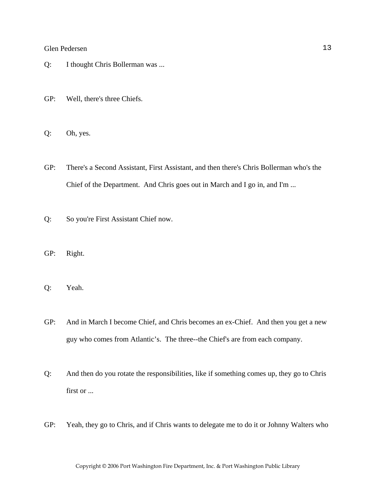- Q: I thought Chris Bollerman was ...
- GP: Well, there's three Chiefs.
- Q: Oh, yes.
- GP: There's a Second Assistant, First Assistant, and then there's Chris Bollerman who's the Chief of the Department. And Chris goes out in March and I go in, and I'm ...
- Q: So you're First Assistant Chief now.
- GP: Right.
- Q: Yeah.
- GP: And in March I become Chief, and Chris becomes an ex-Chief. And then you get a new guy who comes from Atlantic's. The three--the Chief's are from each company.
- Q: And then do you rotate the responsibilities, like if something comes up, they go to Chris first or ...
- GP: Yeah, they go to Chris, and if Chris wants to delegate me to do it or Johnny Walters who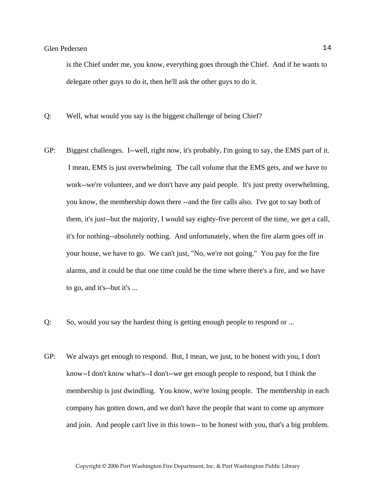is the Chief under me, you know, everything goes through the Chief. And if he wants to delegate other guys to do it, then he'll ask the other guys to do it.

- Q: Well, what would you say is the biggest challenge of being Chief?
- GP: Biggest challenges. I--well, right now, it's probably, I'm going to say, the EMS part of it. I mean, EMS is just overwhelming. The call volume that the EMS gets, and we have to work--we're volunteer, and we don't have any paid people. It's just pretty overwhelming, you know, the membership down there --and the fire calls also. I've got to say both of them, it's just--but the majority, I would say eighty-five percent of the time, we get a call, it's for nothing--absolutely nothing. And unfortunately, when the fire alarm goes off in your house, we have to go. We can't just, "No, we're not going." You pay for the fire alarms, and it could be that one time could be the time where there's a fire, and we have to go, and it's--but it's ...
- Q: So, would you say the hardest thing is getting enough people to respond or ...
- GP: We always get enough to respond. But, I mean, we just, to be honest with you, I don't know--I don't know what's--I don't--we get enough people to respond, but I think the membership is just dwindling. You know, we're losing people. The membership in each company has gotten down, and we don't have the people that want to come up anymore and join. And people can't live in this town-- to be honest with you, that's a big problem.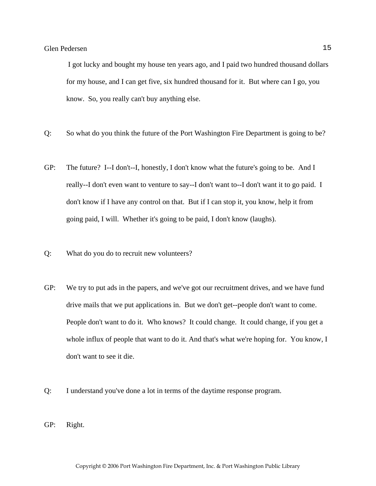I got lucky and bought my house ten years ago, and I paid two hundred thousand dollars for my house, and I can get five, six hundred thousand for it. But where can I go, you know. So, you really can't buy anything else.

- Q: So what do you think the future of the Port Washington Fire Department is going to be?
- GP: The future? I--I don't--I, honestly, I don't know what the future's going to be. And I really--I don't even want to venture to say--I don't want to--I don't want it to go paid. I don't know if I have any control on that. But if I can stop it, you know, help it from going paid, I will. Whether it's going to be paid, I don't know (laughs).
- Q: What do you do to recruit new volunteers?
- GP: We try to put ads in the papers, and we've got our recruitment drives, and we have fund drive mails that we put applications in. But we don't get--people don't want to come. People don't want to do it. Who knows? It could change. It could change, if you get a whole influx of people that want to do it. And that's what we're hoping for. You know, I don't want to see it die.
- Q: I understand you've done a lot in terms of the daytime response program.
- GP: Right.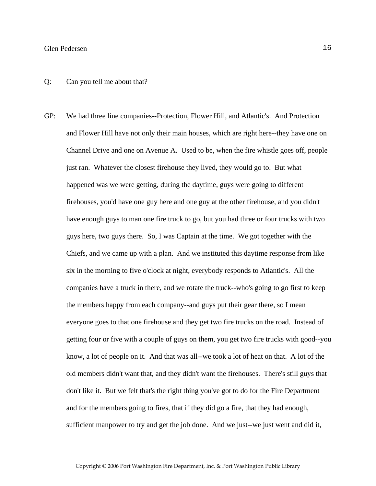#### Q: Can you tell me about that?

GP: We had three line companies--Protection, Flower Hill, and Atlantic's. And Protection and Flower Hill have not only their main houses, which are right here--they have one on Channel Drive and one on Avenue A. Used to be, when the fire whistle goes off, people just ran. Whatever the closest firehouse they lived, they would go to. But what happened was we were getting, during the daytime, guys were going to different firehouses, you'd have one guy here and one guy at the other firehouse, and you didn't have enough guys to man one fire truck to go, but you had three or four trucks with two guys here, two guys there. So, I was Captain at the time. We got together with the Chiefs, and we came up with a plan. And we instituted this daytime response from like six in the morning to five o'clock at night, everybody responds to Atlantic's. All the companies have a truck in there, and we rotate the truck--who's going to go first to keep the members happy from each company--and guys put their gear there, so I mean everyone goes to that one firehouse and they get two fire trucks on the road. Instead of getting four or five with a couple of guys on them, you get two fire trucks with good--you know, a lot of people on it. And that was all--we took a lot of heat on that. A lot of the old members didn't want that, and they didn't want the firehouses. There's still guys that don't like it. But we felt that's the right thing you've got to do for the Fire Department and for the members going to fires, that if they did go a fire, that they had enough, sufficient manpower to try and get the job done. And we just--we just went and did it,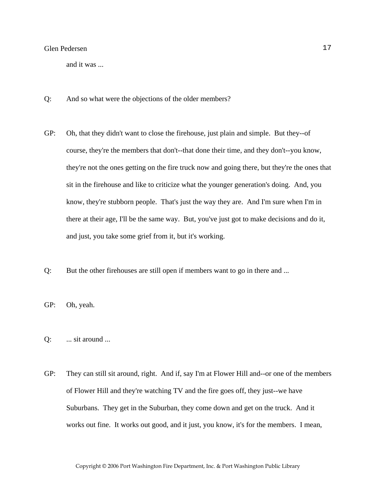and it was ...

- Q: And so what were the objections of the older members?
- GP: Oh, that they didn't want to close the firehouse, just plain and simple. But they--of course, they're the members that don't--that done their time, and they don't--you know, they're not the ones getting on the fire truck now and going there, but they're the ones that sit in the firehouse and like to criticize what the younger generation's doing. And, you know, they're stubborn people. That's just the way they are. And I'm sure when I'm in there at their age, I'll be the same way. But, you've just got to make decisions and do it, and just, you take some grief from it, but it's working.
- Q: But the other firehouses are still open if members want to go in there and ...
- GP: Oh, yeah.
- Q: ... sit around ...
- GP: They can still sit around, right. And if, say I'm at Flower Hill and--or one of the members of Flower Hill and they're watching TV and the fire goes off, they just--we have Suburbans. They get in the Suburban, they come down and get on the truck. And it works out fine. It works out good, and it just, you know, it's for the members. I mean,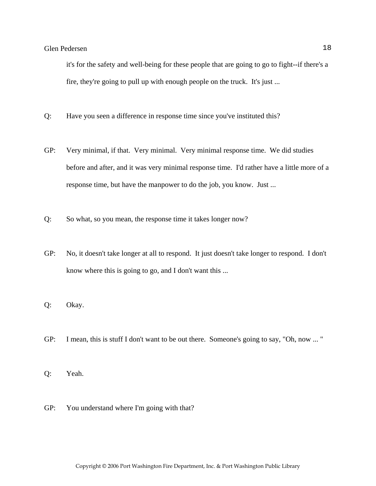it's for the safety and well-being for these people that are going to go to fight--if there's a fire, they're going to pull up with enough people on the truck. It's just ...

- Q: Have you seen a difference in response time since you've instituted this?
- GP: Very minimal, if that. Very minimal. Very minimal response time. We did studies before and after, and it was very minimal response time. I'd rather have a little more of a response time, but have the manpower to do the job, you know. Just ...
- Q: So what, so you mean, the response time it takes longer now?
- GP: No, it doesn't take longer at all to respond. It just doesn't take longer to respond. I don't know where this is going to go, and I don't want this ...
- Q: Okay.
- GP: I mean, this is stuff I don't want to be out there. Someone's going to say, "Oh, now ... "
- Q: Yeah.
- GP: You understand where I'm going with that?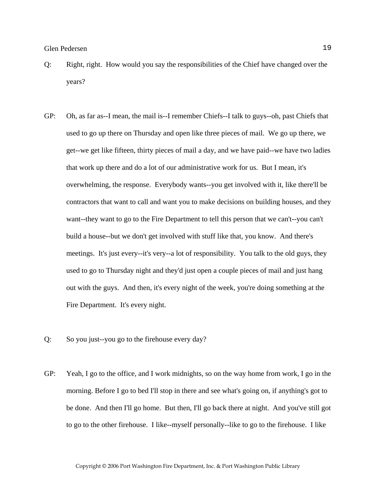- Q: Right, right. How would you say the responsibilities of the Chief have changed over the years?
- GP: Oh, as far as--I mean, the mail is--I remember Chiefs--I talk to guys--oh, past Chiefs that used to go up there on Thursday and open like three pieces of mail. We go up there, we get--we get like fifteen, thirty pieces of mail a day, and we have paid--we have two ladies that work up there and do a lot of our administrative work for us. But I mean, it's overwhelming, the response. Everybody wants--you get involved with it, like there'll be contractors that want to call and want you to make decisions on building houses, and they want--they want to go to the Fire Department to tell this person that we can't--you can't build a house--but we don't get involved with stuff like that, you know. And there's meetings. It's just every--it's very--a lot of responsibility. You talk to the old guys, they used to go to Thursday night and they'd just open a couple pieces of mail and just hang out with the guys. And then, it's every night of the week, you're doing something at the Fire Department. It's every night.
- Q: So you just--you go to the firehouse every day?
- GP: Yeah, I go to the office, and I work midnights, so on the way home from work, I go in the morning. Before I go to bed I'll stop in there and see what's going on, if anything's got to be done. And then I'll go home. But then, I'll go back there at night. And you've still got to go to the other firehouse. I like--myself personally--like to go to the firehouse. I like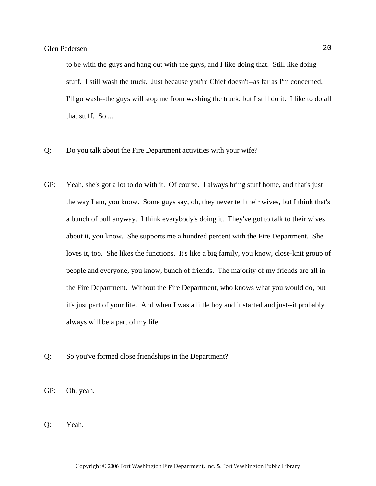to be with the guys and hang out with the guys, and I like doing that. Still like doing stuff. I still wash the truck. Just because you're Chief doesn't--as far as I'm concerned, I'll go wash--the guys will stop me from washing the truck, but I still do it. I like to do all that stuff. So ...

- Q: Do you talk about the Fire Department activities with your wife?
- GP: Yeah, she's got a lot to do with it. Of course. I always bring stuff home, and that's just the way I am, you know. Some guys say, oh, they never tell their wives, but I think that's a bunch of bull anyway. I think everybody's doing it. They've got to talk to their wives about it, you know. She supports me a hundred percent with the Fire Department. She loves it, too. She likes the functions. It's like a big family, you know, close-knit group of people and everyone, you know, bunch of friends. The majority of my friends are all in the Fire Department. Without the Fire Department, who knows what you would do, but it's just part of your life. And when I was a little boy and it started and just--it probably always will be a part of my life.
- Q: So you've formed close friendships in the Department?
- GP: Oh, yeah.
- Q: Yeah.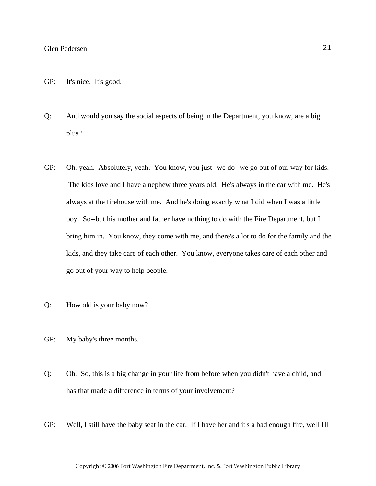- GP: It's nice. It's good.
- Q: And would you say the social aspects of being in the Department, you know, are a big plus?
- GP: Oh, yeah. Absolutely, yeah. You know, you just--we do--we go out of our way for kids. The kids love and I have a nephew three years old. He's always in the car with me. He's always at the firehouse with me. And he's doing exactly what I did when I was a little boy. So--but his mother and father have nothing to do with the Fire Department, but I bring him in. You know, they come with me, and there's a lot to do for the family and the kids, and they take care of each other. You know, everyone takes care of each other and go out of your way to help people.
- Q: How old is your baby now?
- GP: My baby's three months.
- Q: Oh. So, this is a big change in your life from before when you didn't have a child, and has that made a difference in terms of your involvement?
- GP: Well, I still have the baby seat in the car. If I have her and it's a bad enough fire, well I'll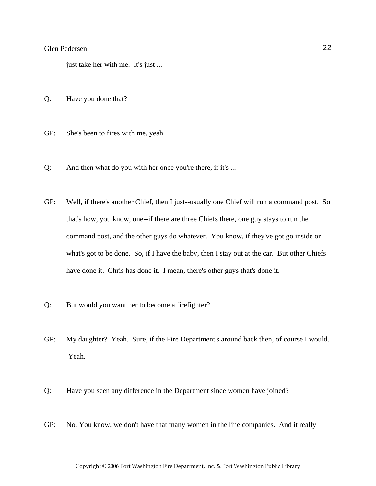just take her with me. It's just ...

- Q: Have you done that?
- GP: She's been to fires with me, yeah.
- Q: And then what do you with her once you're there, if it's ...
- GP: Well, if there's another Chief, then I just--usually one Chief will run a command post. So that's how, you know, one--if there are three Chiefs there, one guy stays to run the command post, and the other guys do whatever. You know, if they've got go inside or what's got to be done. So, if I have the baby, then I stay out at the car. But other Chiefs have done it. Chris has done it. I mean, there's other guys that's done it.
- Q: But would you want her to become a firefighter?
- GP: My daughter? Yeah. Sure, if the Fire Department's around back then, of course I would. Yeah.
- Q: Have you seen any difference in the Department since women have joined?
- GP: No. You know, we don't have that many women in the line companies. And it really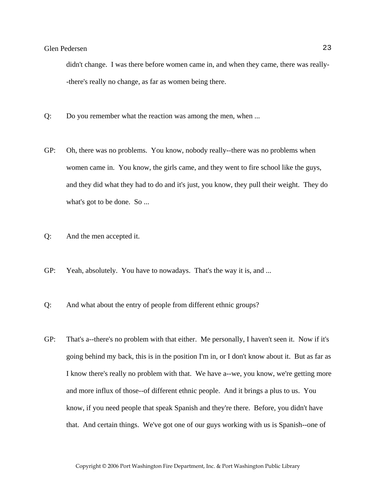didn't change. I was there before women came in, and when they came, there was really- -there's really no change, as far as women being there.

- Q: Do you remember what the reaction was among the men, when ...
- GP: Oh, there was no problems. You know, nobody really--there was no problems when women came in. You know, the girls came, and they went to fire school like the guys, and they did what they had to do and it's just, you know, they pull their weight. They do what's got to be done. So ...
- Q: And the men accepted it.
- GP: Yeah, absolutely. You have to nowadays. That's the way it is, and ...
- Q: And what about the entry of people from different ethnic groups?
- GP: That's a--there's no problem with that either. Me personally, I haven't seen it. Now if it's going behind my back, this is in the position I'm in, or I don't know about it. But as far as I know there's really no problem with that. We have a--we, you know, we're getting more and more influx of those--of different ethnic people. And it brings a plus to us. You know, if you need people that speak Spanish and they're there. Before, you didn't have that. And certain things. We've got one of our guys working with us is Spanish--one of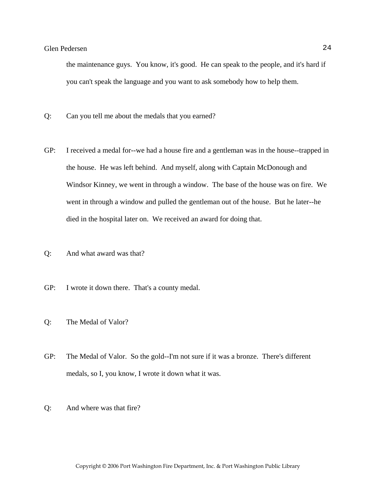the maintenance guys. You know, it's good. He can speak to the people, and it's hard if you can't speak the language and you want to ask somebody how to help them.

- Q: Can you tell me about the medals that you earned?
- GP: I received a medal for--we had a house fire and a gentleman was in the house--trapped in the house. He was left behind. And myself, along with Captain McDonough and Windsor Kinney, we went in through a window. The base of the house was on fire. We went in through a window and pulled the gentleman out of the house. But he later--he died in the hospital later on. We received an award for doing that.
- Q: And what award was that?
- GP: I wrote it down there. That's a county medal.
- Q: The Medal of Valor?
- GP: The Medal of Valor. So the gold--I'm not sure if it was a bronze. There's different medals, so I, you know, I wrote it down what it was.
- Q: And where was that fire?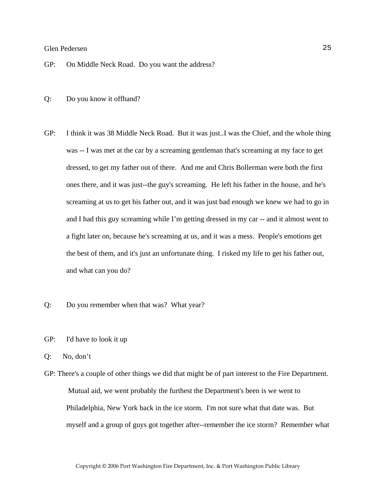GP: On Middle Neck Road. Do you want the address?

- Q: Do you know it offhand?
- GP: I think it was 38 Middle Neck Road. But it was just..I was the Chief, and the whole thing was -- I was met at the car by a screaming gentleman that's screaming at my face to get dressed, to get my father out of there. And me and Chris Bollerman were both the first ones there, and it was just--the guy's screaming. He left his father in the house, and he's screaming at us to get his father out, and it was just bad enough we knew we had to go in and I had this guy screaming while I'm getting dressed in my car -- and it almost went to a fight later on, because he's screaming at us, and it was a mess. People's emotions get the best of them, and it's just an unfortunate thing. I risked my life to get his father out, and what can you do?
- Q: Do you remember when that was? What year?
- GP: I'd have to look it up
- Q: No, don't
- GP: There's a couple of other things we did that might be of part interest to the Fire Department. Mutual aid, we went probably the furthest the Department's been is we went to Philadelphia, New York back in the ice storm. I'm not sure what that date was. But myself and a group of guys got together after--remember the ice storm? Remember what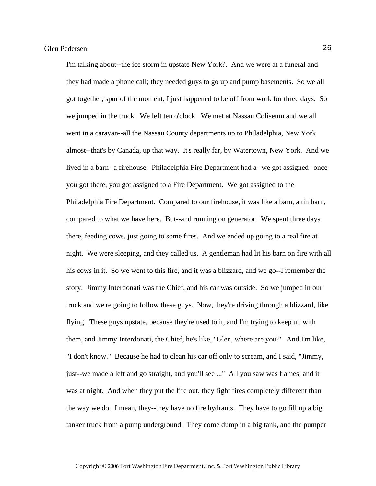I'm talking about--the ice storm in upstate New York?. And we were at a funeral and they had made a phone call; they needed guys to go up and pump basements. So we all got together, spur of the moment, I just happened to be off from work for three days. So we jumped in the truck. We left ten o'clock. We met at Nassau Coliseum and we all went in a caravan--all the Nassau County departments up to Philadelphia, New York almost--that's by Canada, up that way. It's really far, by Watertown, New York. And we lived in a barn--a firehouse. Philadelphia Fire Department had a--we got assigned--once you got there, you got assigned to a Fire Department. We got assigned to the Philadelphia Fire Department. Compared to our firehouse, it was like a barn, a tin barn, compared to what we have here. But--and running on generator. We spent three days there, feeding cows, just going to some fires. And we ended up going to a real fire at night. We were sleeping, and they called us. A gentleman had lit his barn on fire with all his cows in it. So we went to this fire, and it was a blizzard, and we go--I remember the story. Jimmy Interdonati was the Chief, and his car was outside. So we jumped in our truck and we're going to follow these guys. Now, they're driving through a blizzard, like flying. These guys upstate, because they're used to it, and I'm trying to keep up with them, and Jimmy Interdonati, the Chief, he's like, "Glen, where are you?" And I'm like, "I don't know." Because he had to clean his car off only to scream, and I said, "Jimmy, just--we made a left and go straight, and you'll see ..." All you saw was flames, and it was at night. And when they put the fire out, they fight fires completely different than the way we do. I mean, they--they have no fire hydrants. They have to go fill up a big tanker truck from a pump underground. They come dump in a big tank, and the pumper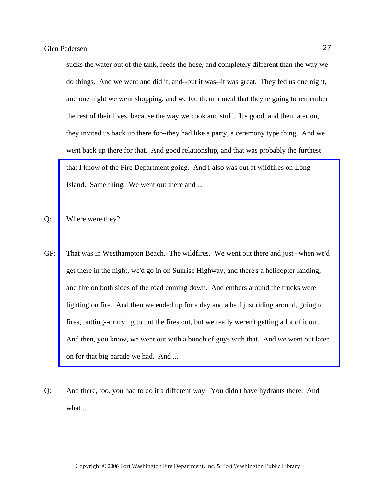sucks the water out of the tank, feeds the hose, and completely different than the way we do things. And we went and did it, and--but it was--it was great. They fed us one night, and one night we went shopping, and we fed them a meal that they're going to remember the rest of their lives, because the way we cook and stuff. It's good, and then later on, they invited us back up there for--they had like a party, a ceremony type thing. And we went back up there for that. And good relationship, and that was probably the furthest that I know of the Fire Department going. And I also was out at wildfires on Long Island. Same thing. We went out there and ...

Q: Where were they?

- GP: [That was in Westhampton Beach. The wildfires. We went out there and just--when we'd](http://www.pwfdhistory.com/trans/pederseng_trans/psent_950901_hw_web.pdf)  get there in the night, we'd go in on Sunrise Highway, and there's a helicopter landing, and fire on both sides of the road coming down. And embers around the trucks were lighting on fire. And then we ended up for a day and a half just riding around, going to fires, putting--or trying to put the fires out, but we really weren't getting a lot of it out. And then, you know, we went out with a bunch of guys with that. And we went out later on for that big parade we had. And ...
- Q: And there, too, you had to do it a different way. You didn't have hydrants there. And what ...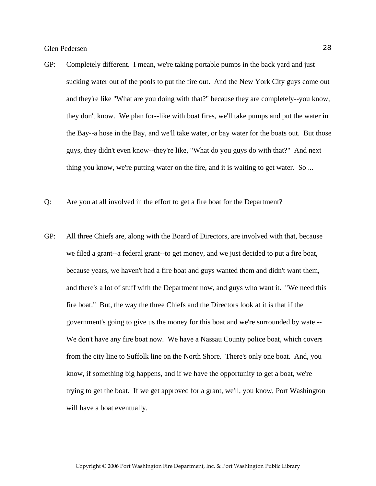- GP: Completely different. I mean, we're taking portable pumps in the back yard and just sucking water out of the pools to put the fire out. And the New York City guys come out and they're like "What are you doing with that?" because they are completely--you know, they don't know. We plan for--like with boat fires, we'll take pumps and put the water in the Bay--a hose in the Bay, and we'll take water, or bay water for the boats out. But those guys, they didn't even know--they're like, "What do you guys do with that?" And next thing you know, we're putting water on the fire, and it is waiting to get water. So ...
- Q: Are you at all involved in the effort to get a fire boat for the Department?
- GP: All three Chiefs are, along with the Board of Directors, are involved with that, because we filed a grant--a federal grant--to get money, and we just decided to put a fire boat, because years, we haven't had a fire boat and guys wanted them and didn't want them, and there's a lot of stuff with the Department now, and guys who want it. "We need this fire boat." But, the way the three Chiefs and the Directors look at it is that if the government's going to give us the money for this boat and we're surrounded by wate -- We don't have any fire boat now. We have a Nassau County police boat, which covers from the city line to Suffolk line on the North Shore. There's only one boat. And, you know, if something big happens, and if we have the opportunity to get a boat, we're trying to get the boat. If we get approved for a grant, we'll, you know, Port Washington will have a boat eventually.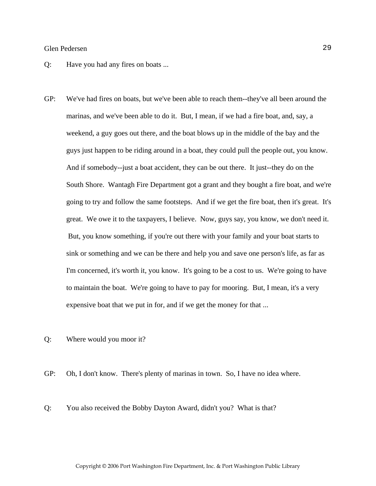- Q: Have you had any fires on boats ...
- GP: We've had fires on boats, but we've been able to reach them--they've all been around the marinas, and we've been able to do it. But, I mean, if we had a fire boat, and, say, a weekend, a guy goes out there, and the boat blows up in the middle of the bay and the guys just happen to be riding around in a boat, they could pull the people out, you know. And if somebody--just a boat accident, they can be out there. It just--they do on the South Shore. Wantagh Fire Department got a grant and they bought a fire boat, and we're going to try and follow the same footsteps. And if we get the fire boat, then it's great. It's great. We owe it to the taxpayers, I believe. Now, guys say, you know, we don't need it. But, you know something, if you're out there with your family and your boat starts to sink or something and we can be there and help you and save one person's life, as far as I'm concerned, it's worth it, you know. It's going to be a cost to us. We're going to have to maintain the boat. We're going to have to pay for mooring. But, I mean, it's a very expensive boat that we put in for, and if we get the money for that ...

Q: Where would you moor it?

GP: Oh, I don't know. There's plenty of marinas in town. So, I have no idea where.

Q: You also received the Bobby Dayton Award, didn't you? What is that?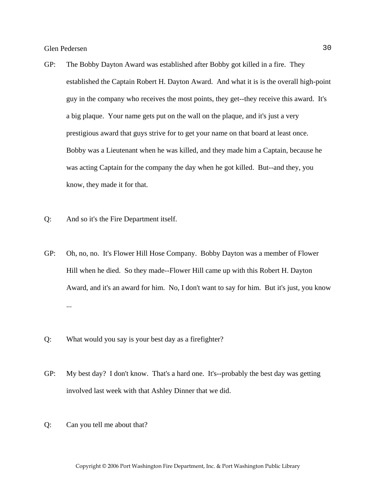- GP: The Bobby Dayton Award was established after Bobby got killed in a fire. They established the Captain Robert H. Dayton Award. And what it is is the overall high-point guy in the company who receives the most points, they get--they receive this award. It's a big plaque. Your name gets put on the wall on the plaque, and it's just a very prestigious award that guys strive for to get your name on that board at least once. Bobby was a Lieutenant when he was killed, and they made him a Captain, because he was acting Captain for the company the day when he got killed. But--and they, you know, they made it for that.
- Q: And so it's the Fire Department itself.
- GP: Oh, no, no. It's Flower Hill Hose Company. Bobby Dayton was a member of Flower Hill when he died. So they made--Flower Hill came up with this Robert H. Dayton Award, and it's an award for him. No, I don't want to say for him. But it's just, you know ...
- Q: What would you say is your best day as a firefighter?
- GP: My best day? I don't know. That's a hard one. It's--probably the best day was getting involved last week with that Ashley Dinner that we did.
- Q: Can you tell me about that?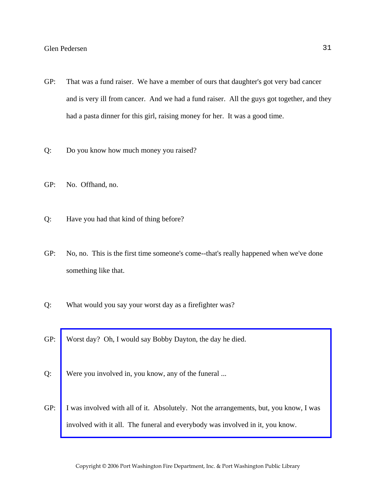- GP: That was a fund raiser. We have a member of ours that daughter's got very bad cancer and is very ill from cancer. And we had a fund raiser. All the guys got together, and they had a pasta dinner for this girl, raising money for her. It was a good time.
- Q: Do you know how much money you raised?
- GP: No. Offhand, no.
- Q: Have you had that kind of thing before?
- GP: No, no. This is the first time someone's come--that's really happened when we've done something like that.
- Q: What would you say your worst day as a firefighter was?
- GP: Worst day? Oh, I would say Bobby Dayton, the day he died.
- Q: Were you involved in, you know, any of the funeral ...
- GP: [I was involved with all of it. Absolutely. Not the arrangements, but, you know, I was](http://www.pwfdhistory.com/trans/pederseng_trans/nday881130web_pz.pdf)  involved with it all. The funeral and everybody was involved in it, you know.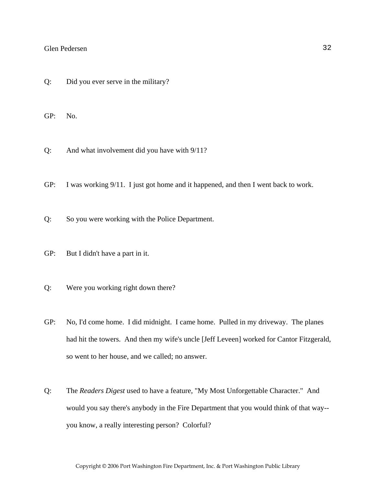Q: Did you ever serve in the military?

GP: No.

Q: And what involvement did you have with 9/11?

GP: I was working 9/11. I just got home and it happened, and then I went back to work.

Q: So you were working with the Police Department.

- GP: But I didn't have a part in it.
- Q: Were you working right down there?
- GP: No, I'd come home. I did midnight. I came home. Pulled in my driveway. The planes had hit the towers. And then my wife's uncle [Jeff Leveen] worked for Cantor Fitzgerald, so went to her house, and we called; no answer.
- Q: The *Readers Digest* used to have a feature, "My Most Unforgettable Character." And would you say there's anybody in the Fire Department that you would think of that way- you know, a really interesting person? Colorful?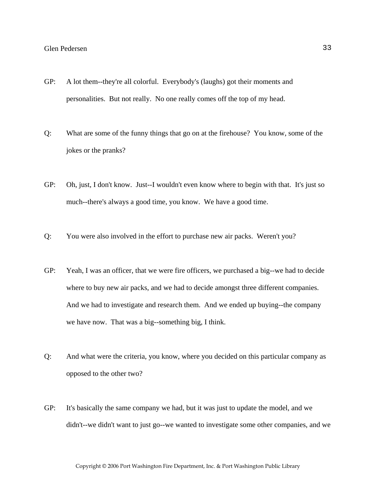- GP: A lot them--they're all colorful. Everybody's (laughs) got their moments and personalities. But not really. No one really comes off the top of my head.
- Q: What are some of the funny things that go on at the firehouse? You know, some of the jokes or the pranks?
- GP: Oh, just, I don't know. Just--I wouldn't even know where to begin with that. It's just so much--there's always a good time, you know. We have a good time.
- Q: You were also involved in the effort to purchase new air packs. Weren't you?
- GP: Yeah, I was an officer, that we were fire officers, we purchased a big--we had to decide where to buy new air packs, and we had to decide amongst three different companies. And we had to investigate and research them. And we ended up buying--the company we have now. That was a big--something big, I think.
- Q: And what were the criteria, you know, where you decided on this particular company as opposed to the other two?
- GP: It's basically the same company we had, but it was just to update the model, and we didn't--we didn't want to just go--we wanted to investigate some other companies, and we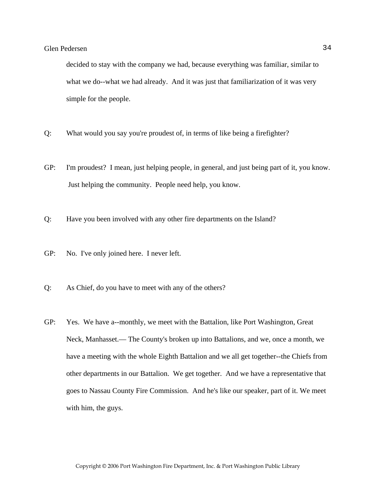decided to stay with the company we had, because everything was familiar, similar to what we do--what we had already. And it was just that familiarization of it was very simple for the people.

- Q: What would you say you're proudest of, in terms of like being a firefighter?
- GP: I'm proudest? I mean, just helping people, in general, and just being part of it, you know. Just helping the community. People need help, you know.
- Q: Have you been involved with any other fire departments on the Island?
- GP: No. I've only joined here. I never left.
- Q: As Chief, do you have to meet with any of the others?
- GP: Yes. We have a--monthly, we meet with the Battalion, like Port Washington, Great Neck, Manhasset.— The County's broken up into Battalions, and we, once a month, we have a meeting with the whole Eighth Battalion and we all get together--the Chiefs from other departments in our Battalion. We get together. And we have a representative that goes to Nassau County Fire Commission. And he's like our speaker, part of it. We meet with him, the guys.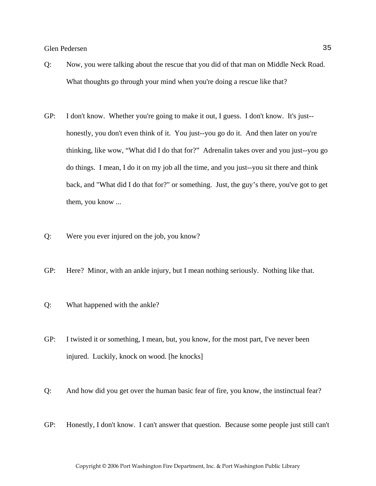- Q: Now, you were talking about the rescue that you did of that man on Middle Neck Road. What thoughts go through your mind when you're doing a rescue like that?
- GP: I don't know. Whether you're going to make it out, I guess. I don't know. It's just- honestly, you don't even think of it. You just--you go do it. And then later on you're thinking, like wow, "What did I do that for?" Adrenalin takes over and you just--you go do things. I mean, I do it on my job all the time, and you just--you sit there and think back, and "What did I do that for?" or something. Just, the guy's there, you've got to get them, you know ...
- Q: Were you ever injured on the job, you know?
- GP: Here? Minor, with an ankle injury, but I mean nothing seriously. Nothing like that.
- Q: What happened with the ankle?
- GP: I twisted it or something, I mean, but, you know, for the most part, I've never been injured. Luckily, knock on wood. [he knocks]
- Q: And how did you get over the human basic fear of fire, you know, the instinctual fear?
- GP: Honestly, I don't know. I can't answer that question. Because some people just still can't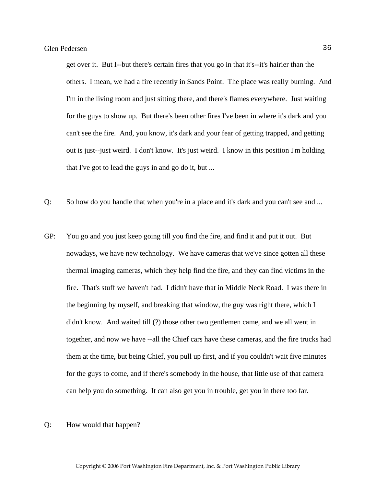get over it. But I--but there's certain fires that you go in that it's--it's hairier than the others. I mean, we had a fire recently in Sands Point. The place was really burning. And I'm in the living room and just sitting there, and there's flames everywhere. Just waiting for the guys to show up. But there's been other fires I've been in where it's dark and you can't see the fire. And, you know, it's dark and your fear of getting trapped, and getting out is just--just weird. I don't know. It's just weird. I know in this position I'm holding that I've got to lead the guys in and go do it, but ...

- Q: So how do you handle that when you're in a place and it's dark and you can't see and ...
- GP: You go and you just keep going till you find the fire, and find it and put it out. But nowadays, we have new technology. We have cameras that we've since gotten all these thermal imaging cameras, which they help find the fire, and they can find victims in the fire. That's stuff we haven't had. I didn't have that in Middle Neck Road. I was there in the beginning by myself, and breaking that window, the guy was right there, which I didn't know. And waited till (?) those other two gentlemen came, and we all went in together, and now we have --all the Chief cars have these cameras, and the fire trucks had them at the time, but being Chief, you pull up first, and if you couldn't wait five minutes for the guys to come, and if there's somebody in the house, that little use of that camera can help you do something. It can also get you in trouble, get you in there too far.
- Q: How would that happen?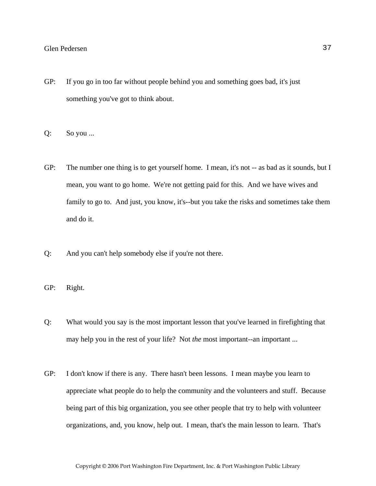- GP: If you go in too far without people behind you and something goes bad, it's just something you've got to think about.
- Q: So you ...
- GP: The number one thing is to get yourself home. I mean, it's not -- as bad as it sounds, but I mean, you want to go home. We're not getting paid for this. And we have wives and family to go to. And just, you know, it's--but you take the risks and sometimes take them and do it.
- Q: And you can't help somebody else if you're not there.
- GP: Right.
- Q: What would you say is the most important lesson that you've learned in firefighting that may help you in the rest of your life? Not *the* most important--an important ...
- GP: I don't know if there is any. There hasn't been lessons. I mean maybe you learn to appreciate what people do to help the community and the volunteers and stuff. Because being part of this big organization, you see other people that try to help with volunteer organizations, and, you know, help out. I mean, that's the main lesson to learn. That's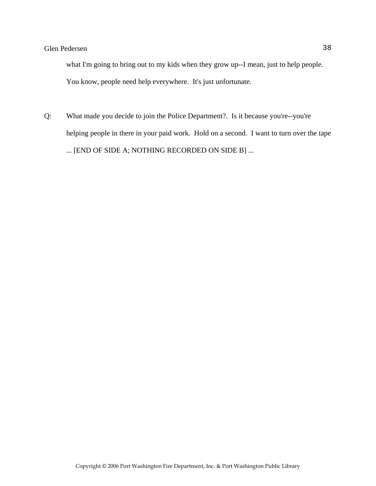what I'm going to bring out to my kids when they grow up--I mean, just to help people. You know, people need help everywhere. It's just unfortunate.

Q: What made you decide to join the Police Department?. Is it because you're--you're helping people in there in your paid work. Hold on a second. I want to turn over the tape ... [END OF SIDE A; NOTHING RECORDED ON SIDE B] ...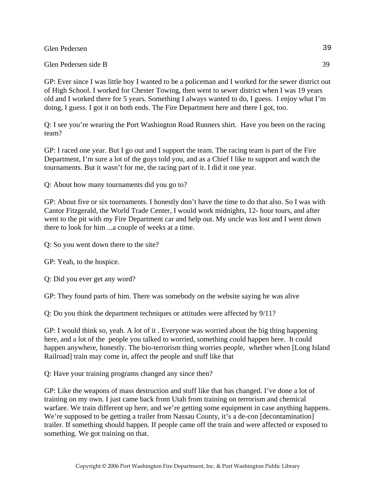Glen Pedersen side B 39

GP: Ever since I was little boy I wanted to be a policeman and I worked for the sewer district out of High School. I worked for Chester Towing, then went to sewer district when I was 19 years old and I worked there for 5 years. Something I always wanted to do, I guess. I enjoy what I'm doing, I guess. I got it on both ends. The Fire Department here and there I got, too.

Q: I see you're wearing the Port Washington Road Runners shirt. Have you been on the racing team?

GP: I raced one year. But I go out and I support the team. The racing team is part of the Fire Department, I'm sure a lot of the guys told you, and as a Chief I like to support and watch the tournaments. But it wasn't for me, the racing part of it. I did it one year.

Q: About how many tournaments did you go to?

GP: About five or six tournaments. I honestly don't have the time to do that also. So I was with Cantor Fitzgerald, the World Trade Center, I would work midnights, 12- hour tours, and after went to the pit with my Fire Department car and help out. My uncle was lost and I went down there to look for him ...a couple of weeks at a time.

Q: So you went down there to the site?

GP: Yeah, to the hospice.

Q: Did you ever get any word?

GP: They found parts of him. There was somebody on the website saying he was alive

Q: Do you think the department techniques or attitudes were affected by 9/11?

GP: I would think so, yeah. A lot of it . Everyone was worried about the big thing happening here, and a lot of the people you talked to worried, something could happen here. It could happen anywhere, honestly. The bio-terrorism thing worries people, whether when [Long Island Railroad] train may come in, affect the people and stuff like that

Q: Have your training programs changed any since then?

GP: Like the weapons of mass destruction and stuff like that has changed. I've done a lot of training on my own. I just came back from Utah from training on terrorism and chemical warfare. We train different up here, and we're getting some equipment in case anything happens. We're supposed to be getting a trailer from Nassau County, it's a de-con [decontamination] trailer. If something should happen. If people came off the train and were affected or exposed to something. We got training on that.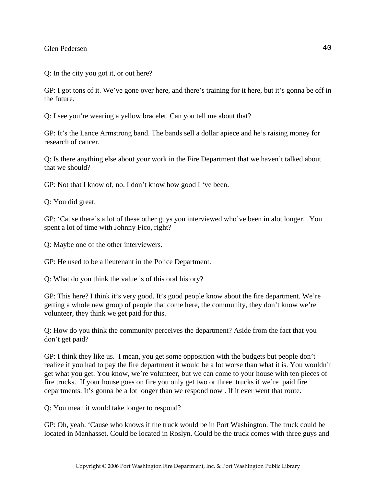Q: In the city you got it, or out here?

GP: I got tons of it. We've gone over here, and there's training for it here, but it's gonna be off in the future.

Q: I see you're wearing a yellow bracelet. Can you tell me about that?

GP: It's the Lance Armstrong band. The bands sell a dollar apiece and he's raising money for research of cancer.

Q: Is there anything else about your work in the Fire Department that we haven't talked about that we should?

GP: Not that I know of, no. I don't know how good I 've been.

Q: You did great.

GP: 'Cause there's a lot of these other guys you interviewed who've been in alot longer. You spent a lot of time with Johnny Fico, right?

Q: Maybe one of the other interviewers.

GP: He used to be a lieutenant in the Police Department.

Q: What do you think the value is of this oral history?

GP: This here? I think it's very good. It's good people know about the fire department. We're getting a whole new group of people that come here, the community, they don't know we're volunteer, they think we get paid for this.

Q: How do you think the community perceives the department? Aside from the fact that you don't get paid?

GP: I think they like us. I mean, you get some opposition with the budgets but people don't realize if you had to pay the fire department it would be a lot worse than what it is. You wouldn't get what you get. You know, we're volunteer, but we can come to your house with ten pieces of fire trucks. If your house goes on fire you only get two or three trucks if we're paid fire departments. It's gonna be a lot longer than we respond now . If it ever went that route.

Q: You mean it would take longer to respond?

GP: Oh, yeah. 'Cause who knows if the truck would be in Port Washington. The truck could be located in Manhasset. Could be located in Roslyn. Could be the truck comes with three guys and